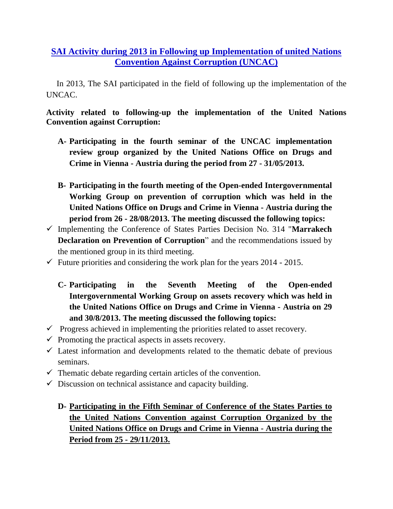## **SAI Activity during 2013 in Following up Implementation of united Nations Convention Against Corruption (UNCAC)**

 In 2013, The SAI participated in the field of following up the implementation of the UNCAC.

## **Activity related to following-up the implementation of the United Nations Convention against Corruption:**

- **A- Participating in the fourth seminar of the UNCAC implementation review group organized by the United Nations Office on Drugs and Crime in Vienna - Austria during the period from 27 - 31/05/2013.**
- **B- Participating in the fourth meeting of the Open-ended Intergovernmental Working Group on prevention of corruption which was held in the United Nations Office on Drugs and Crime in Vienna - Austria during the period from 26 - 28/08/2013. The meeting discussed the following topics:**
- Implementing the Conference of States Parties Decision No. 314 "**Marrakech Declaration on Prevention of Corruption**" and the recommendations issued by the mentioned group in its third meeting.
- $\checkmark$  Future priorities and considering the work plan for the years 2014 2015.
	- **C- Participating in the Seventh Meeting of the Open-ended Intergovernmental Working Group on assets recovery which was held in the United Nations Office on Drugs and Crime in Vienna - Austria on 29 and 30/8/2013. The meeting discussed the following topics:**
- $\checkmark$  Progress achieved in implementing the priorities related to asset recovery.
- $\checkmark$  Promoting the practical aspects in assets recovery.
- $\checkmark$  Latest information and developments related to the thematic debate of previous seminars.
- $\checkmark$  Thematic debate regarding certain articles of the convention.
- $\checkmark$  Discussion on technical assistance and capacity building.
	- **D- Participating in the Fifth Seminar of Conference of the States Parties to the United Nations Convention against Corruption Organized by the United Nations Office on Drugs and Crime in Vienna - Austria during the Period from 25 - 29/11/2013.**